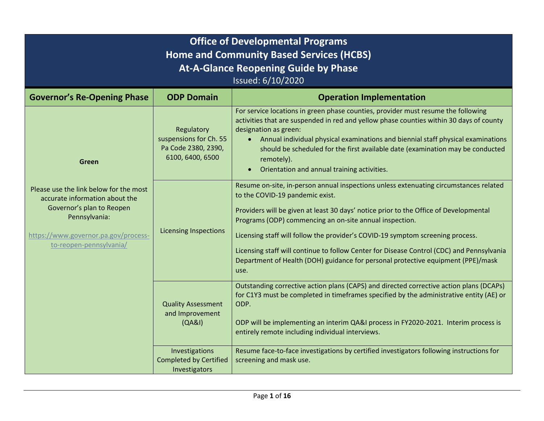| <b>Office of Developmental Programs</b><br><b>Home and Community Based Services (HCBS)</b><br><b>At-A-Glance Reopening Guide by Phase</b><br>Issued: 6/10/2020                            |                                                                                 |                                                                                                                                                                                                                                                                                                                                                                                                                                                                                                                                                         |
|-------------------------------------------------------------------------------------------------------------------------------------------------------------------------------------------|---------------------------------------------------------------------------------|---------------------------------------------------------------------------------------------------------------------------------------------------------------------------------------------------------------------------------------------------------------------------------------------------------------------------------------------------------------------------------------------------------------------------------------------------------------------------------------------------------------------------------------------------------|
| <b>Governor's Re-Opening Phase</b>                                                                                                                                                        | <b>ODP Domain</b>                                                               | <b>Operation Implementation</b>                                                                                                                                                                                                                                                                                                                                                                                                                                                                                                                         |
| Green                                                                                                                                                                                     | Regulatory<br>suspensions for Ch. 55<br>Pa Code 2380, 2390,<br>6100, 6400, 6500 | For service locations in green phase counties, provider must resume the following<br>activities that are suspended in red and yellow phase counties within 30 days of county<br>designation as green:<br>Annual individual physical examinations and biennial staff physical examinations<br>$\bullet$<br>should be scheduled for the first available date (examination may be conducted<br>remotely).<br>Orientation and annual training activities.<br>$\bullet$                                                                                      |
| Please use the link below for the most<br>accurate information about the<br>Governor's plan to Reopen<br>Pennsylvania:<br>https://www.governor.pa.gov/process-<br>to-reopen-pennsylvania/ | <b>Licensing Inspections</b>                                                    | Resume on-site, in-person annual inspections unless extenuating circumstances related<br>to the COVID-19 pandemic exist.<br>Providers will be given at least 30 days' notice prior to the Office of Developmental<br>Programs (ODP) commencing an on-site annual inspection.<br>Licensing staff will follow the provider's COVID-19 symptom screening process.<br>Licensing staff will continue to follow Center for Disease Control (CDC) and Pennsylvania<br>Department of Health (DOH) guidance for personal protective equipment (PPE)/mask<br>use. |
|                                                                                                                                                                                           | <b>Quality Assessment</b><br>and Improvement<br>(QABI)                          | Outstanding corrective action plans (CAPS) and directed corrective action plans (DCAPs)<br>for C1Y3 must be completed in timeframes specified by the administrative entity (AE) or<br>ODP.<br>ODP will be implementing an interim QA&I process in FY2020-2021. Interim process is<br>entirely remote including individual interviews.                                                                                                                                                                                                                   |
|                                                                                                                                                                                           | Investigations<br><b>Completed by Certified</b><br>Investigators                | Resume face-to-face investigations by certified investigators following instructions for<br>screening and mask use.                                                                                                                                                                                                                                                                                                                                                                                                                                     |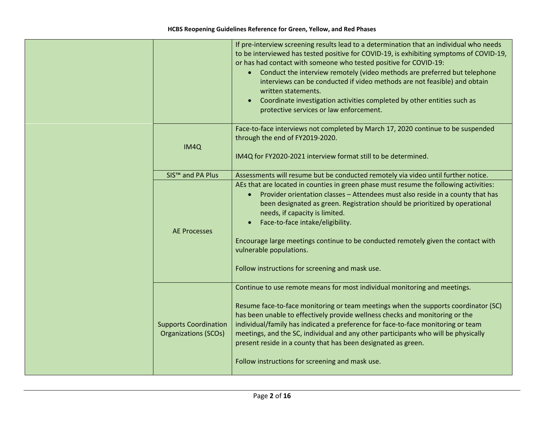|                                                             | If pre-interview screening results lead to a determination that an individual who needs<br>to be interviewed has tested positive for COVID-19, is exhibiting symptoms of COVID-19,<br>or has had contact with someone who tested positive for COVID-19:<br>Conduct the interview remotely (video methods are preferred but telephone<br>interviews can be conducted if video methods are not feasible) and obtain<br>written statements.<br>Coordinate investigation activities completed by other entities such as<br>$\bullet$<br>protective services or law enforcement. |
|-------------------------------------------------------------|-----------------------------------------------------------------------------------------------------------------------------------------------------------------------------------------------------------------------------------------------------------------------------------------------------------------------------------------------------------------------------------------------------------------------------------------------------------------------------------------------------------------------------------------------------------------------------|
| IM4Q                                                        | Face-to-face interviews not completed by March 17, 2020 continue to be suspended<br>through the end of FY2019-2020.<br>IM4Q for FY2020-2021 interview format still to be determined.                                                                                                                                                                                                                                                                                                                                                                                        |
| SIS <sup>™</sup> and PA Plus                                | Assessments will resume but be conducted remotely via video until further notice.                                                                                                                                                                                                                                                                                                                                                                                                                                                                                           |
| <b>AE Processes</b>                                         | AEs that are located in counties in green phase must resume the following activities:<br>Provider orientation classes - Attendees must also reside in a county that has<br>been designated as green. Registration should be prioritized by operational<br>needs, if capacity is limited.<br>Face-to-face intake/eligibility.<br>Encourage large meetings continue to be conducted remotely given the contact with<br>vulnerable populations.<br>Follow instructions for screening and mask use.                                                                             |
| <b>Supports Coordination</b><br><b>Organizations (SCOs)</b> | Continue to use remote means for most individual monitoring and meetings.<br>Resume face-to-face monitoring or team meetings when the supports coordinator (SC)<br>has been unable to effectively provide wellness checks and monitoring or the<br>individual/family has indicated a preference for face-to-face monitoring or team<br>meetings, and the SC, individual and any other participants who will be physically<br>present reside in a county that has been designated as green.<br>Follow instructions for screening and mask use.                               |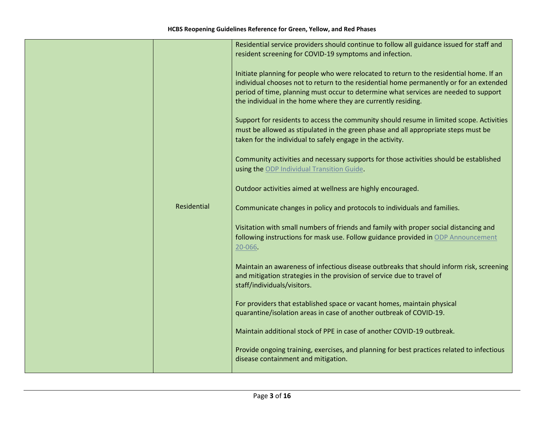| Residential service providers should continue to follow all guidance issued for staff and<br>resident screening for COVID-19 symptoms and infection.<br>Initiate planning for people who were relocated to return to the residential home. If an<br>individual chooses not to return to the residential home permanently or for an extended<br>period of time, planning must occur to determine what services are needed to support<br>the individual in the home where they are currently residing.<br>Support for residents to access the community should resume in limited scope. Activities<br>must be allowed as stipulated in the green phase and all appropriate steps must be |
|----------------------------------------------------------------------------------------------------------------------------------------------------------------------------------------------------------------------------------------------------------------------------------------------------------------------------------------------------------------------------------------------------------------------------------------------------------------------------------------------------------------------------------------------------------------------------------------------------------------------------------------------------------------------------------------|
| taken for the individual to safely engage in the activity.<br>Community activities and necessary supports for those activities should be established<br>using the ODP Individual Transition Guide.<br>Outdoor activities aimed at wellness are highly encouraged.                                                                                                                                                                                                                                                                                                                                                                                                                      |
| Residential<br>Communicate changes in policy and protocols to individuals and families.<br>Visitation with small numbers of friends and family with proper social distancing and<br>following instructions for mask use. Follow guidance provided in ODP Announcement<br>20-066.                                                                                                                                                                                                                                                                                                                                                                                                       |
| Maintain an awareness of infectious disease outbreaks that should inform risk, screening<br>and mitigation strategies in the provision of service due to travel of<br>staff/individuals/visitors.                                                                                                                                                                                                                                                                                                                                                                                                                                                                                      |
| For providers that established space or vacant homes, maintain physical<br>quarantine/isolation areas in case of another outbreak of COVID-19.                                                                                                                                                                                                                                                                                                                                                                                                                                                                                                                                         |
| Maintain additional stock of PPE in case of another COVID-19 outbreak.<br>Provide ongoing training, exercises, and planning for best practices related to infectious<br>disease containment and mitigation.                                                                                                                                                                                                                                                                                                                                                                                                                                                                            |
|                                                                                                                                                                                                                                                                                                                                                                                                                                                                                                                                                                                                                                                                                        |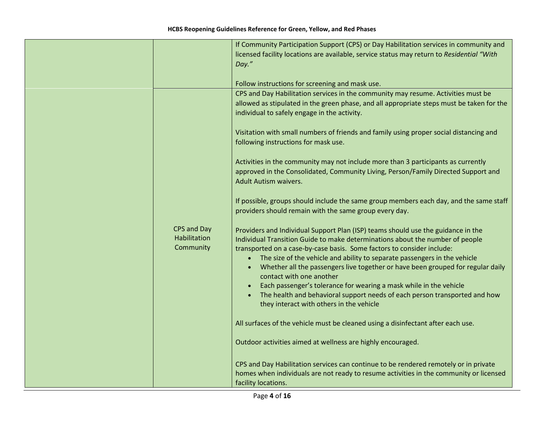|                                          | If Community Participation Support (CPS) or Day Habilitation services in community and                                                                                                                                                                                                                                                                                                                                                  |
|------------------------------------------|-----------------------------------------------------------------------------------------------------------------------------------------------------------------------------------------------------------------------------------------------------------------------------------------------------------------------------------------------------------------------------------------------------------------------------------------|
|                                          | licensed facility locations are available, service status may return to Residential "With                                                                                                                                                                                                                                                                                                                                               |
|                                          | Day."                                                                                                                                                                                                                                                                                                                                                                                                                                   |
|                                          |                                                                                                                                                                                                                                                                                                                                                                                                                                         |
|                                          | Follow instructions for screening and mask use.                                                                                                                                                                                                                                                                                                                                                                                         |
|                                          | CPS and Day Habilitation services in the community may resume. Activities must be                                                                                                                                                                                                                                                                                                                                                       |
|                                          | allowed as stipulated in the green phase, and all appropriate steps must be taken for the                                                                                                                                                                                                                                                                                                                                               |
|                                          | individual to safely engage in the activity.                                                                                                                                                                                                                                                                                                                                                                                            |
|                                          | Visitation with small numbers of friends and family using proper social distancing and<br>following instructions for mask use.                                                                                                                                                                                                                                                                                                          |
|                                          | Activities in the community may not include more than 3 participants as currently<br>approved in the Consolidated, Community Living, Person/Family Directed Support and<br><b>Adult Autism waivers.</b>                                                                                                                                                                                                                                 |
|                                          | If possible, groups should include the same group members each day, and the same staff<br>providers should remain with the same group every day.                                                                                                                                                                                                                                                                                        |
| CPS and Day<br>Habilitation<br>Community | Providers and Individual Support Plan (ISP) teams should use the guidance in the<br>Individual Transition Guide to make determinations about the number of people<br>transported on a case-by-case basis. Some factors to consider include:<br>The size of the vehicle and ability to separate passengers in the vehicle<br>Whether all the passengers live together or have been grouped for regular daily<br>contact with one another |
|                                          | Each passenger's tolerance for wearing a mask while in the vehicle<br>The health and behavioral support needs of each person transported and how<br>they interact with others in the vehicle                                                                                                                                                                                                                                            |
|                                          | All surfaces of the vehicle must be cleaned using a disinfectant after each use.                                                                                                                                                                                                                                                                                                                                                        |
|                                          | Outdoor activities aimed at wellness are highly encouraged.                                                                                                                                                                                                                                                                                                                                                                             |
|                                          | CPS and Day Habilitation services can continue to be rendered remotely or in private<br>homes when individuals are not ready to resume activities in the community or licensed<br>facility locations.                                                                                                                                                                                                                                   |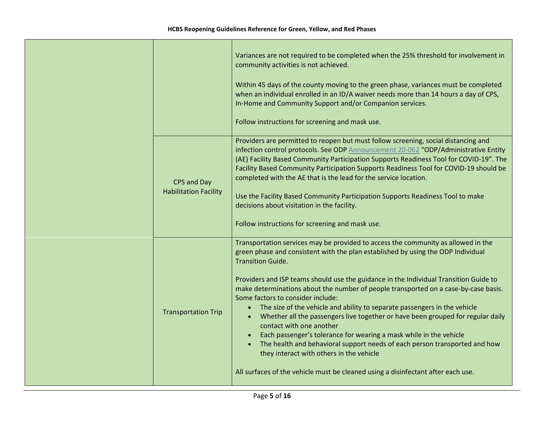|                                             | Variances are not required to be completed when the 25% threshold for involvement in<br>community activities is not achieved.<br>Within 45 days of the county moving to the green phase, variances must be completed<br>when an individual enrolled in an ID/A waiver needs more than 14 hours a day of CPS,<br>In-Home and Community Support and/or Companion services.                                                                                                                                                                                                                                                                                                                                                                                                                                                                                                                                                         |
|---------------------------------------------|----------------------------------------------------------------------------------------------------------------------------------------------------------------------------------------------------------------------------------------------------------------------------------------------------------------------------------------------------------------------------------------------------------------------------------------------------------------------------------------------------------------------------------------------------------------------------------------------------------------------------------------------------------------------------------------------------------------------------------------------------------------------------------------------------------------------------------------------------------------------------------------------------------------------------------|
|                                             | Follow instructions for screening and mask use.                                                                                                                                                                                                                                                                                                                                                                                                                                                                                                                                                                                                                                                                                                                                                                                                                                                                                  |
| CPS and Day<br><b>Habilitation Facility</b> | Providers are permitted to reopen but must follow screening, social distancing and<br>infection control protocols. See ODP Announcement 20-062 "ODP/Administrative Entity<br>(AE) Facility Based Community Participation Supports Readiness Tool for COVID-19". The<br>Facility Based Community Participation Supports Readiness Tool for COVID-19 should be<br>completed with the AE that is the lead for the service location.<br>Use the Facility Based Community Participation Supports Readiness Tool to make<br>decisions about visitation in the facility.<br>Follow instructions for screening and mask use.                                                                                                                                                                                                                                                                                                             |
| <b>Transportation Trip</b>                  | Transportation services may be provided to access the community as allowed in the<br>green phase and consistent with the plan established by using the ODP Individual<br><b>Transition Guide.</b><br>Providers and ISP teams should use the guidance in the Individual Transition Guide to<br>make determinations about the number of people transported on a case-by-case basis.<br>Some factors to consider include:<br>The size of the vehicle and ability to separate passengers in the vehicle<br>$\bullet$<br>Whether all the passengers live together or have been grouped for regular daily<br>$\bullet$<br>contact with one another<br>Each passenger's tolerance for wearing a mask while in the vehicle<br>The health and behavioral support needs of each person transported and how<br>they interact with others in the vehicle<br>All surfaces of the vehicle must be cleaned using a disinfectant after each use. |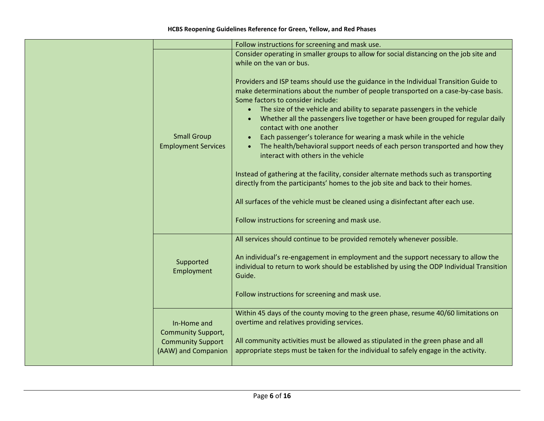|                                                                                             | Follow instructions for screening and mask use.                                                                                                                                                                                                                                                                                                                                                                                                                                                                                                                                                                                                                                                                                                                                                                                                                                                                                                                                                                                                    |
|---------------------------------------------------------------------------------------------|----------------------------------------------------------------------------------------------------------------------------------------------------------------------------------------------------------------------------------------------------------------------------------------------------------------------------------------------------------------------------------------------------------------------------------------------------------------------------------------------------------------------------------------------------------------------------------------------------------------------------------------------------------------------------------------------------------------------------------------------------------------------------------------------------------------------------------------------------------------------------------------------------------------------------------------------------------------------------------------------------------------------------------------------------|
| <b>Small Group</b><br><b>Employment Services</b>                                            | Consider operating in smaller groups to allow for social distancing on the job site and<br>while on the van or bus.<br>Providers and ISP teams should use the guidance in the Individual Transition Guide to<br>make determinations about the number of people transported on a case-by-case basis.<br>Some factors to consider include:<br>The size of the vehicle and ability to separate passengers in the vehicle<br>Whether all the passengers live together or have been grouped for regular daily<br>contact with one another<br>Each passenger's tolerance for wearing a mask while in the vehicle<br>The health/behavioral support needs of each person transported and how they<br>interact with others in the vehicle<br>Instead of gathering at the facility, consider alternate methods such as transporting<br>directly from the participants' homes to the job site and back to their homes.<br>All surfaces of the vehicle must be cleaned using a disinfectant after each use.<br>Follow instructions for screening and mask use. |
| Supported<br>Employment                                                                     | All services should continue to be provided remotely whenever possible.<br>An individual's re-engagement in employment and the support necessary to allow the<br>individual to return to work should be established by using the ODP Individual Transition<br>Guide.<br>Follow instructions for screening and mask use.                                                                                                                                                                                                                                                                                                                                                                                                                                                                                                                                                                                                                                                                                                                            |
| In-Home and<br><b>Community Support,</b><br><b>Community Support</b><br>(AAW) and Companion | Within 45 days of the county moving to the green phase, resume 40/60 limitations on<br>overtime and relatives providing services.<br>All community activities must be allowed as stipulated in the green phase and all<br>appropriate steps must be taken for the individual to safely engage in the activity.                                                                                                                                                                                                                                                                                                                                                                                                                                                                                                                                                                                                                                                                                                                                     |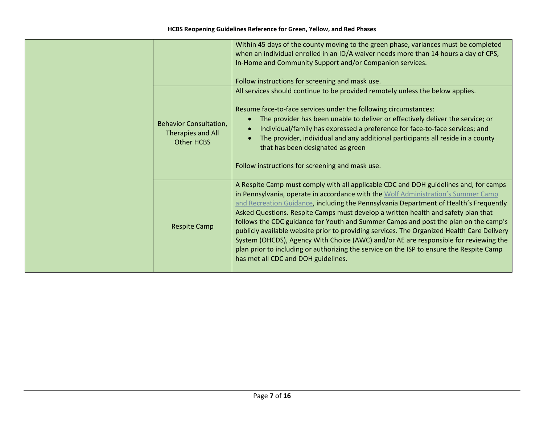|                                                                         | Within 45 days of the county moving to the green phase, variances must be completed<br>when an individual enrolled in an ID/A waiver needs more than 14 hours a day of CPS,<br>In-Home and Community Support and/or Companion services.                                                                                                                                                                                                                                                                                                                                                                                                                                                                                                                                 |
|-------------------------------------------------------------------------|-------------------------------------------------------------------------------------------------------------------------------------------------------------------------------------------------------------------------------------------------------------------------------------------------------------------------------------------------------------------------------------------------------------------------------------------------------------------------------------------------------------------------------------------------------------------------------------------------------------------------------------------------------------------------------------------------------------------------------------------------------------------------|
|                                                                         | Follow instructions for screening and mask use.                                                                                                                                                                                                                                                                                                                                                                                                                                                                                                                                                                                                                                                                                                                         |
|                                                                         | All services should continue to be provided remotely unless the below applies.                                                                                                                                                                                                                                                                                                                                                                                                                                                                                                                                                                                                                                                                                          |
| <b>Behavior Consultation,</b><br>Therapies and All<br><b>Other HCBS</b> | Resume face-to-face services under the following circumstances:<br>The provider has been unable to deliver or effectively deliver the service; or<br>Individual/family has expressed a preference for face-to-face services; and<br>The provider, individual and any additional participants all reside in a county<br>that has been designated as green<br>Follow instructions for screening and mask use.                                                                                                                                                                                                                                                                                                                                                             |
| <b>Respite Camp</b>                                                     | A Respite Camp must comply with all applicable CDC and DOH guidelines and, for camps<br>in Pennsylvania, operate in accordance with the Wolf Administration's Summer Camp<br>and Recreation Guidance, including the Pennsylvania Department of Health's Frequently<br>Asked Questions. Respite Camps must develop a written health and safety plan that<br>follows the CDC guidance for Youth and Summer Camps and post the plan on the camp's<br>publicly available website prior to providing services. The Organized Health Care Delivery<br>System (OHCDS), Agency With Choice (AWC) and/or AE are responsible for reviewing the<br>plan prior to including or authorizing the service on the ISP to ensure the Respite Camp<br>has met all CDC and DOH guidelines. |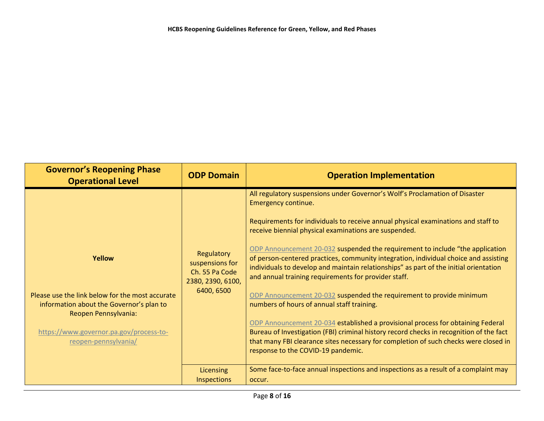| <b>Governor's Reopening Phase</b><br><b>Operational Level</b>                                                                                                                                    | <b>ODP Domain</b>                                                                  | <b>Operation Implementation</b>                                                                                                                                                                                                                                                                                                                                                                                                                                                                                                                                                                                                                                                                                                                                                                                                                                                                                                                                                                              |
|--------------------------------------------------------------------------------------------------------------------------------------------------------------------------------------------------|------------------------------------------------------------------------------------|--------------------------------------------------------------------------------------------------------------------------------------------------------------------------------------------------------------------------------------------------------------------------------------------------------------------------------------------------------------------------------------------------------------------------------------------------------------------------------------------------------------------------------------------------------------------------------------------------------------------------------------------------------------------------------------------------------------------------------------------------------------------------------------------------------------------------------------------------------------------------------------------------------------------------------------------------------------------------------------------------------------|
| Yellow<br>Please use the link below for the most accurate<br>information about the Governor's plan to<br>Reopen Pennsylvania:<br>https://www.governor.pa.gov/process-to-<br>reopen-pennsylvania/ | Regulatory<br>suspensions for<br>Ch. 55 Pa Code<br>2380, 2390, 6100,<br>6400, 6500 | All regulatory suspensions under Governor's Wolf's Proclamation of Disaster<br>Emergency continue.<br>Requirements for individuals to receive annual physical examinations and staff to<br>receive biennial physical examinations are suspended.<br>ODP Announcement 20-032 suspended the requirement to include "the application<br>of person-centered practices, community integration, individual choice and assisting<br>individuals to develop and maintain relationships" as part of the initial orientation<br>and annual training requirements for provider staff.<br>ODP Announcement 20-032 suspended the requirement to provide minimum<br>numbers of hours of annual staff training.<br>ODP Announcement 20-034 established a provisional process for obtaining Federal<br>Bureau of Investigation (FBI) criminal history record checks in recognition of the fact<br>that many FBI clearance sites necessary for completion of such checks were closed in<br>response to the COVID-19 pandemic. |
|                                                                                                                                                                                                  | Licensing<br><b>Inspections</b>                                                    | Some face-to-face annual inspections and inspections as a result of a complaint may<br>occur.                                                                                                                                                                                                                                                                                                                                                                                                                                                                                                                                                                                                                                                                                                                                                                                                                                                                                                                |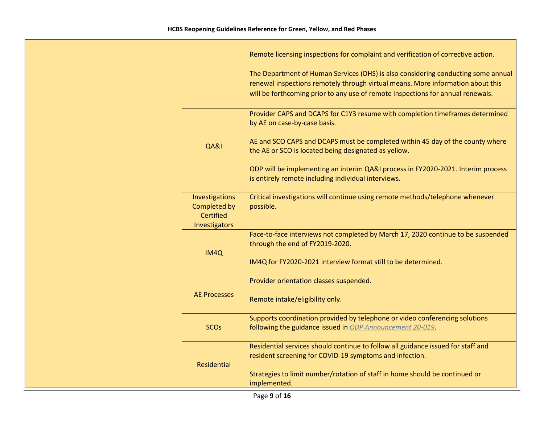|  |                                                              | Remote licensing inspections for complaint and verification of corrective action.                                                                                                                                                                       |
|--|--------------------------------------------------------------|---------------------------------------------------------------------------------------------------------------------------------------------------------------------------------------------------------------------------------------------------------|
|  |                                                              | The Department of Human Services (DHS) is also considering conducting some annual<br>renewal inspections remotely through virtual means. More information about this<br>will be forthcoming prior to any use of remote inspections for annual renewals. |
|  |                                                              | Provider CAPS and DCAPS for C1Y3 resume with completion timeframes determined<br>by AE on case-by-case basis.                                                                                                                                           |
|  | QA&I                                                         | AE and SCO CAPS and DCAPS must be completed within 45 day of the county where<br>the AE or SCO is located being designated as yellow.                                                                                                                   |
|  |                                                              | ODP will be implementing an interim QA&I process in FY2020-2021. Interim process<br>is entirely remote including individual interviews.                                                                                                                 |
|  | Investigations<br>Completed by<br>Certified<br>Investigators | Critical investigations will continue using remote methods/telephone whenever<br>possible.                                                                                                                                                              |
|  | IM4Q                                                         | Face-to-face interviews not completed by March 17, 2020 continue to be suspended<br>through the end of FY2019-2020.<br>IM4Q for FY2020-2021 interview format still to be determined.                                                                    |
|  | <b>AE Processes</b>                                          | Provider orientation classes suspended.<br>Remote intake/eligibility only.                                                                                                                                                                              |
|  | <b>SCOs</b>                                                  | Supports coordination provided by telephone or video conferencing solutions<br>following the guidance issued in ODP Announcement 20-019.                                                                                                                |
|  | Residential                                                  | Residential services should continue to follow all guidance issued for staff and<br>resident screening for COVID-19 symptoms and infection.<br>Strategies to limit number/rotation of staff in home should be continued or<br>implemented.              |
|  |                                                              |                                                                                                                                                                                                                                                         |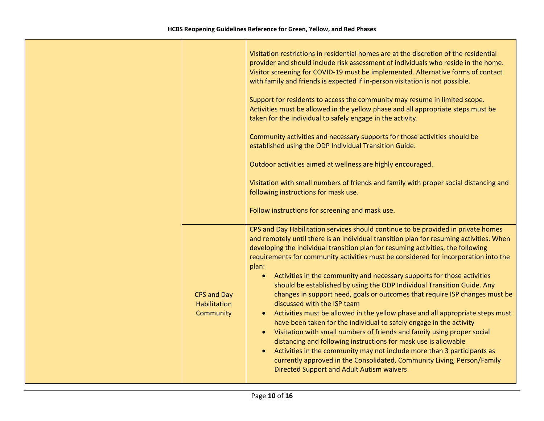|                                                 | Visitation restrictions in residential homes are at the discretion of the residential<br>provider and should include risk assessment of individuals who reside in the home.<br>Visitor screening for COVID-19 must be implemented. Alternative forms of contact<br>with family and friends is expected if in-person visitation is not possible.<br>Support for residents to access the community may resume in limited scope.<br>Activities must be allowed in the yellow phase and all appropriate steps must be<br>taken for the individual to safely engage in the activity.<br>Community activities and necessary supports for those activities should be<br>established using the ODP Individual Transition Guide.<br>Outdoor activities aimed at wellness are highly encouraged.<br>Visitation with small numbers of friends and family with proper social distancing and<br>following instructions for mask use.<br>Follow instructions for screening and mask use.                                                                                                                                                                                   |
|-------------------------------------------------|--------------------------------------------------------------------------------------------------------------------------------------------------------------------------------------------------------------------------------------------------------------------------------------------------------------------------------------------------------------------------------------------------------------------------------------------------------------------------------------------------------------------------------------------------------------------------------------------------------------------------------------------------------------------------------------------------------------------------------------------------------------------------------------------------------------------------------------------------------------------------------------------------------------------------------------------------------------------------------------------------------------------------------------------------------------------------------------------------------------------------------------------------------------|
| <b>CPS and Day</b><br>Habilitation<br>Community | CPS and Day Habilitation services should continue to be provided in private homes<br>and remotely until there is an individual transition plan for resuming activities. When<br>developing the individual transition plan for resuming activities, the following<br>requirements for community activities must be considered for incorporation into the<br>plan:<br>Activities in the community and necessary supports for those activities<br>$\bullet$<br>should be established by using the ODP Individual Transition Guide. Any<br>changes in support need, goals or outcomes that require ISP changes must be<br>discussed with the ISP team<br>• Activities must be allowed in the yellow phase and all appropriate steps must<br>have been taken for the individual to safely engage in the activity<br>Visitation with small numbers of friends and family using proper social<br>distancing and following instructions for mask use is allowable<br>Activities in the community may not include more than 3 participants as<br>currently approved in the Consolidated, Community Living, Person/Family<br>Directed Support and Adult Autism waivers |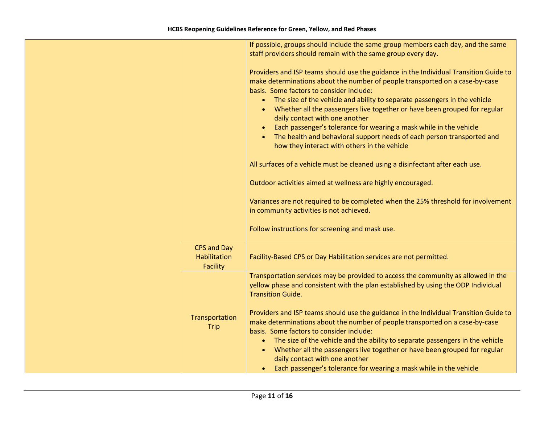|                                 | If possible, groups should include the same group members each day, and the same<br>staff providers should remain with the same group every day.                                                                                                                                                                                                                                                                                                                                                                                                                                                                                                                                                                                                                                                                                                                                                                                                     |
|---------------------------------|------------------------------------------------------------------------------------------------------------------------------------------------------------------------------------------------------------------------------------------------------------------------------------------------------------------------------------------------------------------------------------------------------------------------------------------------------------------------------------------------------------------------------------------------------------------------------------------------------------------------------------------------------------------------------------------------------------------------------------------------------------------------------------------------------------------------------------------------------------------------------------------------------------------------------------------------------|
|                                 | Providers and ISP teams should use the guidance in the Individual Transition Guide to<br>make determinations about the number of people transported on a case-by-case<br>basis. Some factors to consider include:<br>• The size of the vehicle and ability to separate passengers in the vehicle<br>Whether all the passengers live together or have been grouped for regular<br>daily contact with one another<br>Each passenger's tolerance for wearing a mask while in the vehicle<br>The health and behavioral support needs of each person transported and<br>how they interact with others in the vehicle<br>All surfaces of a vehicle must be cleaned using a disinfectant after each use.<br>Outdoor activities aimed at wellness are highly encouraged.<br>Variances are not required to be completed when the 25% threshold for involvement<br>in community activities is not achieved.<br>Follow instructions for screening and mask use. |
| <b>CPS and Day</b>              |                                                                                                                                                                                                                                                                                                                                                                                                                                                                                                                                                                                                                                                                                                                                                                                                                                                                                                                                                      |
| <b>Habilitation</b><br>Facility | Facility-Based CPS or Day Habilitation services are not permitted.                                                                                                                                                                                                                                                                                                                                                                                                                                                                                                                                                                                                                                                                                                                                                                                                                                                                                   |
|                                 | Transportation services may be provided to access the community as allowed in the<br>yellow phase and consistent with the plan established by using the ODP Individual<br><b>Transition Guide.</b>                                                                                                                                                                                                                                                                                                                                                                                                                                                                                                                                                                                                                                                                                                                                                   |
| Transportation<br><b>Trip</b>   | Providers and ISP teams should use the guidance in the Individual Transition Guide to<br>make determinations about the number of people transported on a case-by-case<br>basis. Some factors to consider include:<br>• The size of the vehicle and the ability to separate passengers in the vehicle<br>Whether all the passengers live together or have been grouped for regular<br>$\bullet$<br>daily contact with one another<br>• Each passenger's tolerance for wearing a mask while in the vehicle                                                                                                                                                                                                                                                                                                                                                                                                                                             |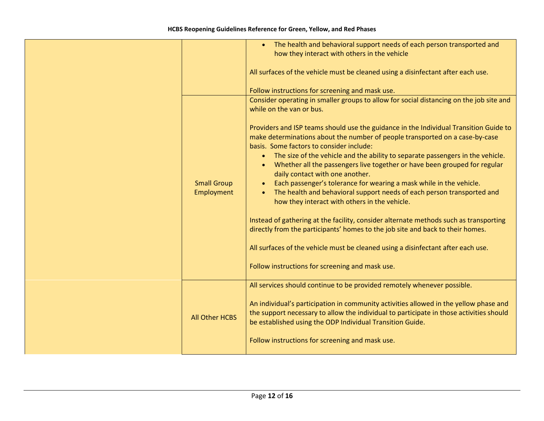|                                  | The health and behavioral support needs of each person transported and<br>how they interact with others in the vehicle<br>All surfaces of the vehicle must be cleaned using a disinfectant after each use.                                                                                                                                                                                                                                                                                                                                                                                                                                                                                                                                                                                                                                                                             |
|----------------------------------|----------------------------------------------------------------------------------------------------------------------------------------------------------------------------------------------------------------------------------------------------------------------------------------------------------------------------------------------------------------------------------------------------------------------------------------------------------------------------------------------------------------------------------------------------------------------------------------------------------------------------------------------------------------------------------------------------------------------------------------------------------------------------------------------------------------------------------------------------------------------------------------|
|                                  | Follow instructions for screening and mask use.                                                                                                                                                                                                                                                                                                                                                                                                                                                                                                                                                                                                                                                                                                                                                                                                                                        |
|                                  | Consider operating in smaller groups to allow for social distancing on the job site and<br>while on the van or bus.                                                                                                                                                                                                                                                                                                                                                                                                                                                                                                                                                                                                                                                                                                                                                                    |
| <b>Small Group</b><br>Employment | Providers and ISP teams should use the guidance in the Individual Transition Guide to<br>make determinations about the number of people transported on a case-by-case<br>basis. Some factors to consider include:<br>• The size of the vehicle and the ability to separate passengers in the vehicle.<br>Whether all the passengers live together or have been grouped for regular<br>daily contact with one another.<br>Each passenger's tolerance for wearing a mask while in the vehicle.<br>The health and behavioral support needs of each person transported and<br>how they interact with others in the vehicle.<br>Instead of gathering at the facility, consider alternate methods such as transporting<br>directly from the participants' homes to the job site and back to their homes.<br>All surfaces of the vehicle must be cleaned using a disinfectant after each use. |
|                                  | Follow instructions for screening and mask use.                                                                                                                                                                                                                                                                                                                                                                                                                                                                                                                                                                                                                                                                                                                                                                                                                                        |
| <b>All Other HCBS</b>            | All services should continue to be provided remotely whenever possible.<br>An individual's participation in community activities allowed in the yellow phase and<br>the support necessary to allow the individual to participate in those activities should<br>be established using the ODP Individual Transition Guide.<br>Follow instructions for screening and mask use.                                                                                                                                                                                                                                                                                                                                                                                                                                                                                                            |
|                                  |                                                                                                                                                                                                                                                                                                                                                                                                                                                                                                                                                                                                                                                                                                                                                                                                                                                                                        |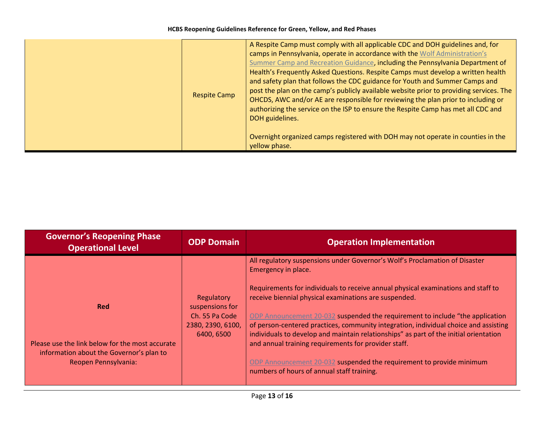**HCBS Reopening Guidelines Reference for Green, Yellow, and Red Phases**

|  | <b>Respite Camp</b>                                                                               | A Respite Camp must comply with all applicable CDC and DOH guidelines and, for<br>camps in Pennsylvania, operate in accordance with the Wolf Administration's<br>Summer Camp and Recreation Guidance, including the Pennsylvania Department of<br>Health's Frequently Asked Questions. Respite Camps must develop a written health<br>and safety plan that follows the CDC guidance for Youth and Summer Camps and<br>post the plan on the camp's publicly available website prior to providing services. The<br>OHCDS, AWC and/or AE are responsible for reviewing the plan prior to including or<br>authorizing the service on the ISP to ensure the Respite Camp has met all CDC and<br>DOH guidelines. |
|--|---------------------------------------------------------------------------------------------------|------------------------------------------------------------------------------------------------------------------------------------------------------------------------------------------------------------------------------------------------------------------------------------------------------------------------------------------------------------------------------------------------------------------------------------------------------------------------------------------------------------------------------------------------------------------------------------------------------------------------------------------------------------------------------------------------------------|
|  | Overnight organized camps registered with DOH may not operate in counties in the<br>yellow phase. |                                                                                                                                                                                                                                                                                                                                                                                                                                                                                                                                                                                                                                                                                                            |

| <b>Governor's Reopening Phase</b><br><b>Operational Level</b>                                                                     | <b>ODP Domain</b>                                                                  | <b>Operation Implementation</b>                                                                                                                                                                                                                                                                                         |
|-----------------------------------------------------------------------------------------------------------------------------------|------------------------------------------------------------------------------------|-------------------------------------------------------------------------------------------------------------------------------------------------------------------------------------------------------------------------------------------------------------------------------------------------------------------------|
| <b>Red</b><br>Please use the link below for the most accurate<br>information about the Governor's plan to<br>Reopen Pennsylvania: |                                                                                    | All regulatory suspensions under Governor's Wolf's Proclamation of Disaster<br>Emergency in place.                                                                                                                                                                                                                      |
|                                                                                                                                   | Regulatory<br>suspensions for<br>Ch. 55 Pa Code<br>2380, 2390, 6100,<br>6400, 6500 | Requirements for individuals to receive annual physical examinations and staff to<br>receive biennial physical examinations are suspended.                                                                                                                                                                              |
|                                                                                                                                   |                                                                                    | ODP Announcement 20-032 suspended the requirement to include "the application"<br>of person-centered practices, community integration, individual choice and assisting<br>individuals to develop and maintain relationships" as part of the initial orientation<br>and annual training requirements for provider staff. |
|                                                                                                                                   |                                                                                    | ODP Announcement 20-032 suspended the requirement to provide minimum<br>numbers of hours of annual staff training.                                                                                                                                                                                                      |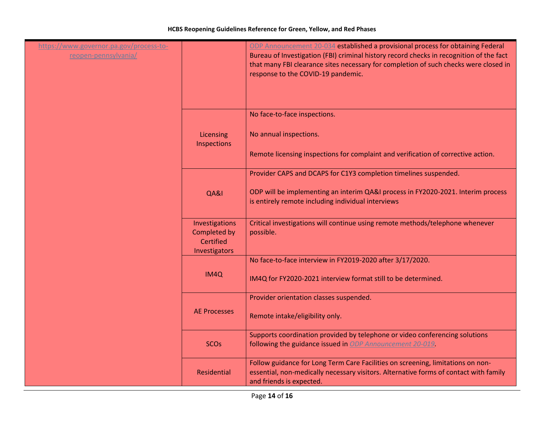| https://www.governor.pa.gov/process-to-<br>reopen-pennsylvania/ |                                                              | ODP Announcement 20-034 established a provisional process for obtaining Federal<br>Bureau of Investigation (FBI) criminal history record checks in recognition of the fact<br>that many FBI clearance sites necessary for completion of such checks were closed in<br>response to the COVID-19 pandemic. |
|-----------------------------------------------------------------|--------------------------------------------------------------|----------------------------------------------------------------------------------------------------------------------------------------------------------------------------------------------------------------------------------------------------------------------------------------------------------|
|                                                                 |                                                              | No face-to-face inspections.                                                                                                                                                                                                                                                                             |
|                                                                 | Licensing<br>Inspections                                     | No annual inspections.                                                                                                                                                                                                                                                                                   |
|                                                                 |                                                              | Remote licensing inspections for complaint and verification of corrective action.                                                                                                                                                                                                                        |
|                                                                 |                                                              | Provider CAPS and DCAPS for C1Y3 completion timelines suspended.                                                                                                                                                                                                                                         |
|                                                                 | QA&I                                                         | ODP will be implementing an interim QA&I process in FY2020-2021. Interim process<br>is entirely remote including individual interviews                                                                                                                                                                   |
|                                                                 | Investigations<br>Completed by<br>Certified<br>Investigators | Critical investigations will continue using remote methods/telephone whenever<br>possible.                                                                                                                                                                                                               |
|                                                                 |                                                              | No face-to-face interview in FY2019-2020 after 3/17/2020.                                                                                                                                                                                                                                                |
|                                                                 | IM4Q                                                         | IM4Q for FY2020-2021 interview format still to be determined.                                                                                                                                                                                                                                            |
|                                                                 |                                                              | Provider orientation classes suspended.                                                                                                                                                                                                                                                                  |
|                                                                 | <b>AE Processes</b>                                          | Remote intake/eligibility only.                                                                                                                                                                                                                                                                          |
|                                                                 | <b>SCOs</b>                                                  | Supports coordination provided by telephone or video conferencing solutions<br>following the guidance issued in ODP Announcement 20-019.                                                                                                                                                                 |
|                                                                 | Residential                                                  | Follow guidance for Long Term Care Facilities on screening, limitations on non-<br>essential, non-medically necessary visitors. Alternative forms of contact with family<br>and friends is expected.                                                                                                     |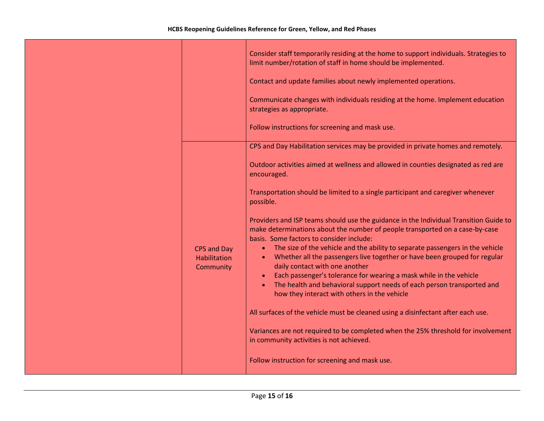|                                                 | Consider staff temporarily residing at the home to support individuals. Strategies to<br>limit number/rotation of staff in home should be implemented.<br>Contact and update families about newly implemented operations. |
|-------------------------------------------------|---------------------------------------------------------------------------------------------------------------------------------------------------------------------------------------------------------------------------|
|                                                 | Communicate changes with individuals residing at the home. Implement education<br>strategies as appropriate.                                                                                                              |
|                                                 | Follow instructions for screening and mask use.                                                                                                                                                                           |
|                                                 | CPS and Day Habilitation services may be provided in private homes and remotely.                                                                                                                                          |
|                                                 | Outdoor activities aimed at wellness and allowed in counties designated as red are<br>encouraged.                                                                                                                         |
|                                                 | Transportation should be limited to a single participant and caregiver whenever<br>possible.                                                                                                                              |
|                                                 | Providers and ISP teams should use the guidance in the Individual Transition Guide to<br>make determinations about the number of people transported on a case-by-case<br>basis. Some factors to consider include:         |
| <b>CPS and Day</b><br>Habilitation<br>Community | • The size of the vehicle and the ability to separate passengers in the vehicle<br>Whether all the passengers live together or have been grouped for regular<br>daily contact with one another                            |
|                                                 | Each passenger's tolerance for wearing a mask while in the vehicle<br>The health and behavioral support needs of each person transported and<br>how they interact with others in the vehicle                              |
|                                                 | All surfaces of the vehicle must be cleaned using a disinfectant after each use.                                                                                                                                          |
|                                                 | Variances are not required to be completed when the 25% threshold for involvement<br>in community activities is not achieved.                                                                                             |
|                                                 | Follow instruction for screening and mask use.                                                                                                                                                                            |